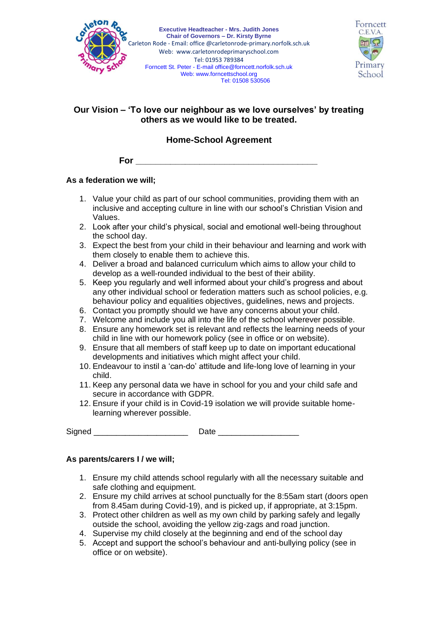



# **Our Vision – 'To love our neighbour as we love ourselves' by treating others as we would like to be treated.**

# **Home-School Agreement**

**For \_\_\_\_\_\_\_\_\_\_\_\_\_\_\_\_\_\_\_\_\_\_\_\_\_\_\_\_\_\_\_\_\_\_\_\_\_**

### **As a federation we will;**

- 1. Value your child as part of our school communities, providing them with an inclusive and accepting culture in line with our school's Christian Vision and Values.
- 2. Look after your child's physical, social and emotional well-being throughout the school day.
- 3. Expect the best from your child in their behaviour and learning and work with them closely to enable them to achieve this.
- 4. Deliver a broad and balanced curriculum which aims to allow your child to develop as a well-rounded individual to the best of their ability.
- 5. Keep you regularly and well informed about your child's progress and about any other individual school or federation matters such as school policies, e.g. behaviour policy and equalities objectives, guidelines, news and projects.
- 6. Contact you promptly should we have any concerns about your child.
- 7. Welcome and include you all into the life of the school wherever possible.
- 8. Ensure any homework set is relevant and reflects the learning needs of your child in line with our homework policy (see in office or on website).
- 9. Ensure that all members of staff keep up to date on important educational developments and initiatives which might affect your child.
- 10. Endeavour to instil a 'can-do' attitude and life-long love of learning in your child.
- 11. Keep any personal data we have in school for you and your child safe and secure in accordance with GDPR.
- 12. Ensure if your child is in Covid-19 isolation we will provide suitable homelearning wherever possible.

Signed **Example 2 Date**  $\Box$  Date  $\Box$  Date  $\Box$  Date  $\Box$  Date  $\Box$  Date  $\Box$  Date  $\Box$  Date  $\Box$  Date  $\Box$  Date  $\Box$  Date  $\Box$  Date  $\Box$  Date  $\Box$  Date  $\Box$  Date  $\Box$  Date  $\Box$  Date  $\Box$  Date  $\Box$  Date  $\Box$  Date  $\Box$  Dat

### **As parents/carers I / we will;**

- 1. Ensure my child attends school regularly with all the necessary suitable and safe clothing and equipment.
- 2. Ensure my child arrives at school punctually for the 8:55am start (doors open from 8.45am during Covid-19), and is picked up, if appropriate, at 3:15pm.
- 3. Protect other children as well as my own child by parking safely and legally outside the school, avoiding the yellow zig-zags and road junction.
- 4. Supervise my child closely at the beginning and end of the school day
- 5. Accept and support the school's behaviour and anti-bullying policy (see in office or on website).